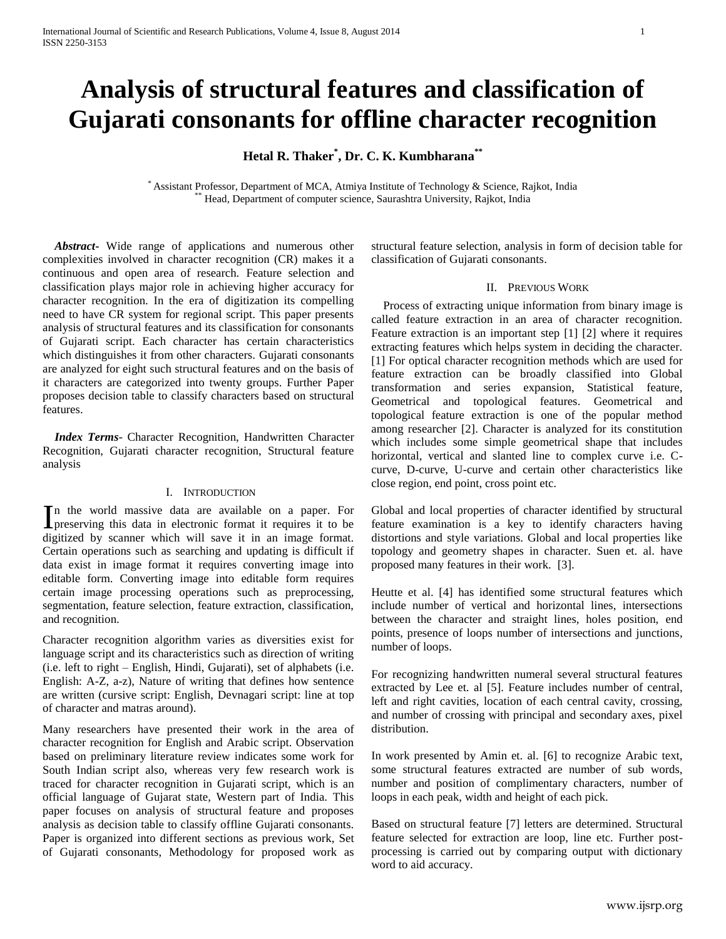# **Analysis of structural features and classification of Gujarati consonants for offline character recognition**

**Hetal R. Thaker\* , Dr. C. K. Kumbharana\*\***

\* Assistant Professor, Department of MCA, Atmiya Institute of Technology & Science, Rajkot, India \*\* Head, Department of computer science, Saurashtra University, Rajkot, India

 *Abstract***-** Wide range of applications and numerous other complexities involved in character recognition (CR) makes it a continuous and open area of research. Feature selection and classification plays major role in achieving higher accuracy for character recognition. In the era of digitization its compelling need to have CR system for regional script. This paper presents analysis of structural features and its classification for consonants of Gujarati script. Each character has certain characteristics which distinguishes it from other characters. Gujarati consonants are analyzed for eight such structural features and on the basis of it characters are categorized into twenty groups. Further Paper proposes decision table to classify characters based on structural features.

 *Index Terms*- Character Recognition, Handwritten Character Recognition, Gujarati character recognition, Structural feature analysis

#### I. INTRODUCTION

n the world massive data are available on a paper. For In the world massive data are available on a paper. For preserving this data in electronic format it requires it to be digitized by scanner which will save it in an image format. Certain operations such as searching and updating is difficult if data exist in image format it requires converting image into editable form. Converting image into editable form requires certain image processing operations such as preprocessing, segmentation, feature selection, feature extraction, classification, and recognition.

Character recognition algorithm varies as diversities exist for language script and its characteristics such as direction of writing (i.e. left to right – English, Hindi, Gujarati), set of alphabets (i.e. English: A-Z, a-z), Nature of writing that defines how sentence are written (cursive script: English, Devnagari script: line at top of character and matras around).

Many researchers have presented their work in the area of character recognition for English and Arabic script. Observation based on preliminary literature review indicates some work for South Indian script also, whereas very few research work is traced for character recognition in Gujarati script, which is an official language of Gujarat state, Western part of India. This paper focuses on analysis of structural feature and proposes analysis as decision table to classify offline Gujarati consonants. Paper is organized into different sections as previous work, Set of Gujarati consonants, Methodology for proposed work as

structural feature selection, analysis in form of decision table for classification of Gujarati consonants.

#### II. PREVIOUS WORK

 Process of extracting unique information from binary image is called feature extraction in an area of character recognition. Feature extraction is an important step [1] [2] where it requires extracting features which helps system in deciding the character. [1] For optical character recognition methods which are used for feature extraction can be broadly classified into Global transformation and series expansion, Statistical feature, Geometrical and topological features. Geometrical and topological feature extraction is one of the popular method among researcher [2]. Character is analyzed for its constitution which includes some simple geometrical shape that includes horizontal, vertical and slanted line to complex curve i.e. Ccurve, D-curve, U-curve and certain other characteristics like close region, end point, cross point etc.

Global and local properties of character identified by structural feature examination is a key to identify characters having distortions and style variations. Global and local properties like topology and geometry shapes in character. Suen et. al. have proposed many features in their work. [3].

Heutte et al. [4] has identified some structural features which include number of vertical and horizontal lines, intersections between the character and straight lines, holes position, end points, presence of loops number of intersections and junctions, number of loops.

For recognizing handwritten numeral several structural features extracted by Lee et. al [5]. Feature includes number of central, left and right cavities, location of each central cavity, crossing, and number of crossing with principal and secondary axes, pixel distribution.

In work presented by Amin et. al. [6] to recognize Arabic text, some structural features extracted are number of sub words, number and position of complimentary characters, number of loops in each peak, width and height of each pick.

Based on structural feature [7] letters are determined. Structural feature selected for extraction are loop, line etc. Further postprocessing is carried out by comparing output with dictionary word to aid accuracy.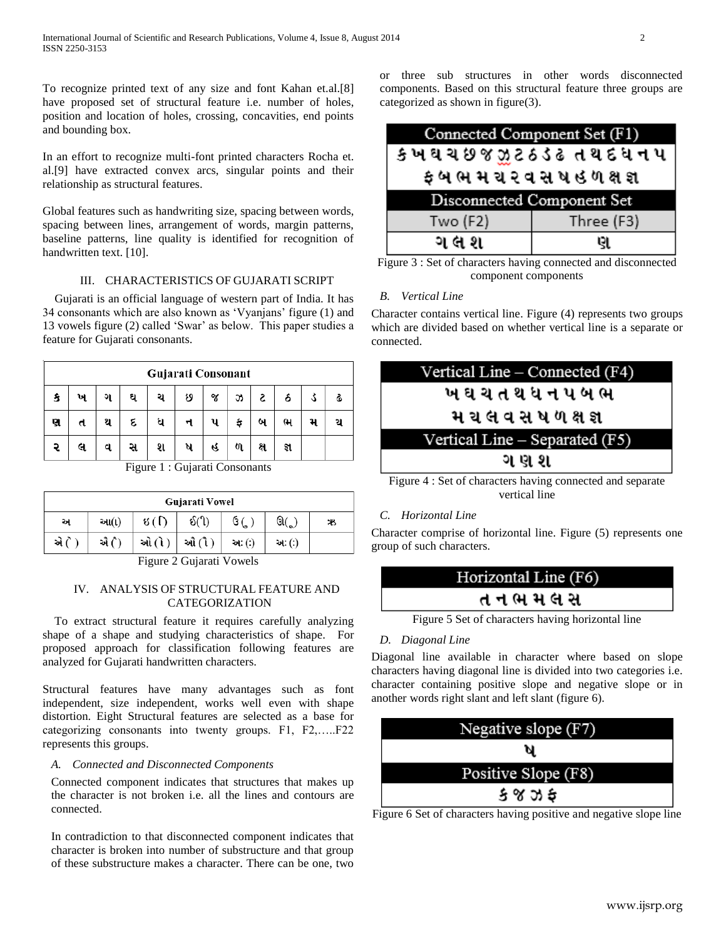To recognize printed text of any size and font Kahan et.al.[8] have proposed set of structural feature i.e. number of holes, position and location of holes, crossing, concavities, end points and bounding box.

In an effort to recognize multi-font printed characters Rocha et. al.[9] have extracted convex arcs, singular points and their relationship as structural features.

Global features such as handwriting size, spacing between words, spacing between lines, arrangement of words, margin patterns, baseline patterns, line quality is identified for recognition of handwritten text. [10].

## III. CHARACTERISTICS OF GUJARATI SCRIPT

 Gujarati is an official language of western part of India. It has 34 consonants which are also known as 'Vyanjans' figure (1) and 13 vowels figure (2) called 'Swar' as below. This paper studies a feature for Gujarati consonants.

|   |   |     |   |   | Gujarati Consonant |    |   |     |     |  |
|---|---|-----|---|---|--------------------|----|---|-----|-----|--|
|   | ખ | ગ   | ઘ | э | છ                  | જ  | 5 | S   |     |  |
| ણ | π | SI. | દ | ધ |                    |    |   | ľ۳  |     |  |
|   | લ | d   | સ | શ | я                  | G. | ળ | ક્ષ | જ્ઞ |  |

Figure 1 : Gujarati Consonants

|      |      |              | Gujarati Vowel   |        |        |    |
|------|------|--------------|------------------|--------|--------|----|
| અ    | આ(ા) | ধ ( $\Gamma$ | $\mathcal{S}(1)$ | G      | ઊ(ૂ    | Ж, |
| એ (ે | એ (ે | ઓ (ો         | ઔ (ૌ             | અઃ (:) | અઃ (:) |    |

Figure 2 Gujarati Vowels

## IV. ANALYSIS OF STRUCTURAL FEATURE AND CATEGORIZATION

 To extract structural feature it requires carefully analyzing shape of a shape and studying characteristics of shape. For proposed approach for classification following features are analyzed for Gujarati handwritten characters.

Structural features have many advantages such as font independent, size independent, works well even with shape distortion. Eight Structural features are selected as a base for categorizing consonants into twenty groups. F1, F2,…..F22 represents this groups.

#### *A. Connected and Disconnected Components*

Connected component indicates that structures that makes up the character is not broken i.e. all the lines and contours are connected.

In contradiction to that disconnected component indicates that character is broken into number of substructure and that group of these substructure makes a character. There can be one, two

or three sub structures in other words disconnected components. Based on this structural feature three groups are categorized as shown in figure(3).

| Connected Component Set (F1)   |   |  |  |  |
|--------------------------------|---|--|--|--|
| ક ખઘચ છ જ ઝુટ ઠ ડેઢત થ દ ધ ન પ |   |  |  |  |
| ફ બ ભ મ ચ ૨ વ સ ષ હ ળ ક્ષ જ્ઞ  |   |  |  |  |
| Disconnected Component Set     |   |  |  |  |
| Three (F3)<br>Two $(F2)$       |   |  |  |  |
| ગલ શ                           | ણ |  |  |  |

Figure 3 : Set of characters having connected and disconnected component components

## *B. Vertical Line*

Character contains vertical line. Figure (4) represents two groups which are divided based on whether vertical line is a separate or connected.



Figure 4 : Set of characters having connected and separate vertical line

# *C. Horizontal Line*

Character comprise of horizontal line. Figure (5) represents one group of such characters.



Figure 5 Set of characters having horizontal line

## *D. Diagonal Line*

Diagonal line available in character where based on slope characters having diagonal line is divided into two categories i.e. character containing positive slope and negative slope or in another words right slant and left slant (figure 6).



Figure 6 Set of characters having positive and negative slope line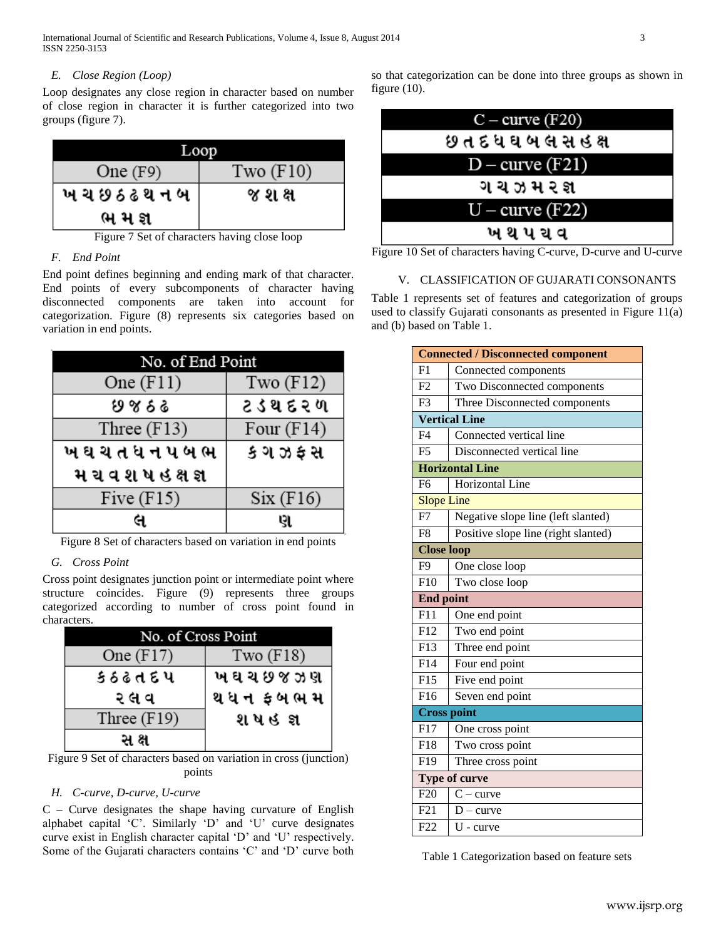International Journal of Scientific and Research Publications, Volume 4, Issue 8, August 2014 3 ISSN 2250-3153

#### *E. Close Region (Loop)*

Loop designates any close region in character based on number of close region in character it is further categorized into two groups (figure 7).

|                 | LOOD        |
|-----------------|-------------|
| One $(F9)$      | Two $(F10)$ |
| ખ ચ છ ઠ ઢ થ ન બ | જ શ ક્ષ     |
| ભ મ જ્ઞ         |             |

Figure 7 Set of characters having close loop

## *F. End Point*

End point defines beginning and ending mark of that character. End points of every subcomponents of character having disconnected components are taken into account for categorization. Figure (8) represents six categories based on variation in end points.

| No. of End Point  |              |
|-------------------|--------------|
| One $(F11)$       | Two $(F12)$  |
| ७४ ६ ढ            | ટ ડ થ દ ૨ ળ  |
| Three $(F13)$     | Four $(F14)$ |
| ખઘચતધનપબભ         | કગઝફસ        |
| મ ચવશ ષ હ ક્ષ જ્ઞ |              |
| Five $(F15)$      | Six(F16)     |
|                   | ણ            |

Figure 8 Set of characters based on variation in end points

#### *G. Cross Point*

Cross point designates junction point or intermediate point where structure coincides. Figure (9) represents three groups categorized according to number of cross point found in characters.

| No. of Cross Point |             |
|--------------------|-------------|
| One $(F17)$        | Two $(F18)$ |
| કઠઢતદપ             | ખઘચછજઝણ     |
| ર લ વ              | થધન ફબભમ    |
| Three $(F19)$      | શપહજ્ઞ      |
|                    |             |

Figure 9 Set of characters based on variation in cross (junction) points

#### *H. C-curve, D-curve, U-curve*

 $C$  – Curve designates the shape having curvature of English alphabet capital 'C'. Similarly 'D' and 'U' curve designates curve exist in English character capital 'D' and 'U' respectively. Some of the Gujarati characters contains 'C' and 'D' curve both so that categorization can be done into three groups as shown in figure (10).



Figure 10 Set of characters having C-curve, D-curve and U-curve

#### V. CLASSIFICATION OF GUJARATI CONSONANTS

Table 1 represents set of features and categorization of groups used to classify Gujarati consonants as presented in Figure 11(a) and (b) based on Table 1.

|                        | <b>Connected / Disconnected component</b> |  |  |  |
|------------------------|-------------------------------------------|--|--|--|
| F <sub>1</sub>         | Connected components                      |  |  |  |
| F2                     | Two Disconnected components               |  |  |  |
| F <sub>3</sub>         | Three Disconnected components             |  |  |  |
|                        | <b>Vertical Line</b>                      |  |  |  |
| F <sub>4</sub>         | Connected vertical line                   |  |  |  |
| F <sub>5</sub>         | Disconnected vertical line                |  |  |  |
| <b>Horizontal Line</b> |                                           |  |  |  |
| F <sub>6</sub>         | Horizontal Line                           |  |  |  |
| <b>Slope Line</b>      |                                           |  |  |  |
| F7                     | Negative slope line (left slanted)        |  |  |  |
| F <sub>8</sub>         | Positive slope line (right slanted)       |  |  |  |
|                        | <b>Close loop</b>                         |  |  |  |
| F <sub>9</sub>         | One close loop                            |  |  |  |
| F10                    | Two close loop                            |  |  |  |
|                        | <b>End point</b>                          |  |  |  |
| F11                    | One end point                             |  |  |  |
|                        | Two end point                             |  |  |  |
| F12                    |                                           |  |  |  |
| F13                    | Three end point                           |  |  |  |
| F14                    | Four end point                            |  |  |  |
| F15                    | Five end point                            |  |  |  |
| F <sub>16</sub>        | Seven end point                           |  |  |  |
|                        | <b>Cross point</b>                        |  |  |  |
| $\overline{F}17$       | One cross point                           |  |  |  |
| F <sub>18</sub>        | Two cross point                           |  |  |  |
| F19                    | Three cross point                         |  |  |  |
|                        | <b>Type of curve</b>                      |  |  |  |
| F20                    | $C - curve$                               |  |  |  |
| F21                    | $D$ – curve                               |  |  |  |

Table 1 Categorization based on feature sets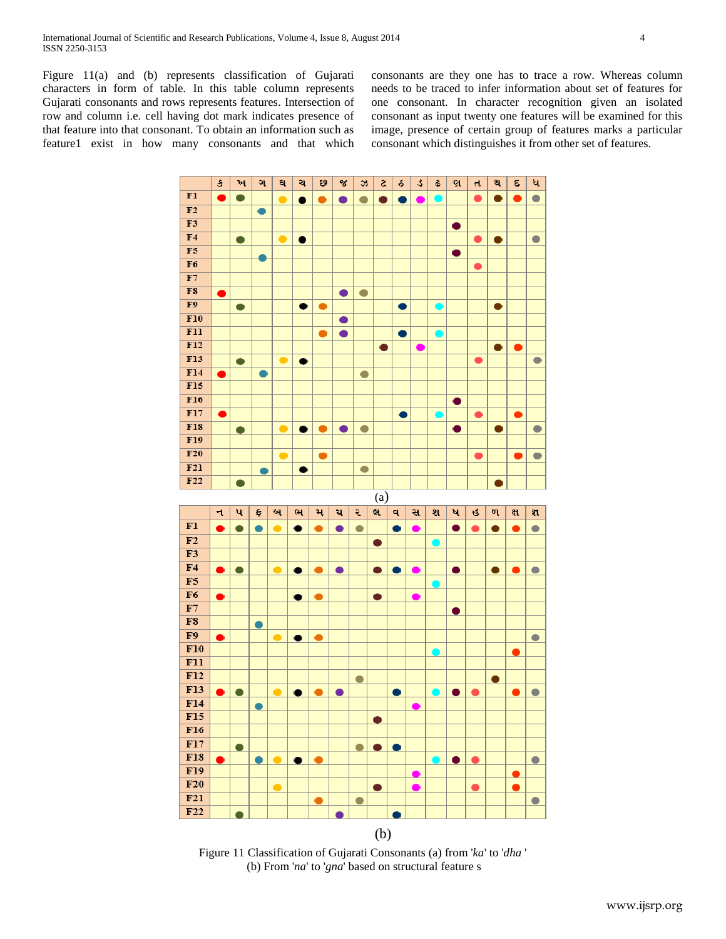Figure 11(a) and (b) represents classification of Gujarati characters in form of table. In this table column represents Gujarati consonants and rows represents features. Intersection of row and column i.e. cell having dot mark indicates presence of that feature into that consonant. To obtain an information such as feature1 exist in how many consonants and that which consonants are they one has to trace a row. Whereas column needs to be traced to infer information about set of features for one consonant. In character recognition given an isolated consonant as input twenty one features will be examined for this image, presence of certain group of features marks a particular consonant which distinguishes it from other set of features.



Figure 11 Classification of Gujarati Consonants (a) from '*ka*' to '*dha* ' (b) From '*na*' to '*gna*' based on structural feature s